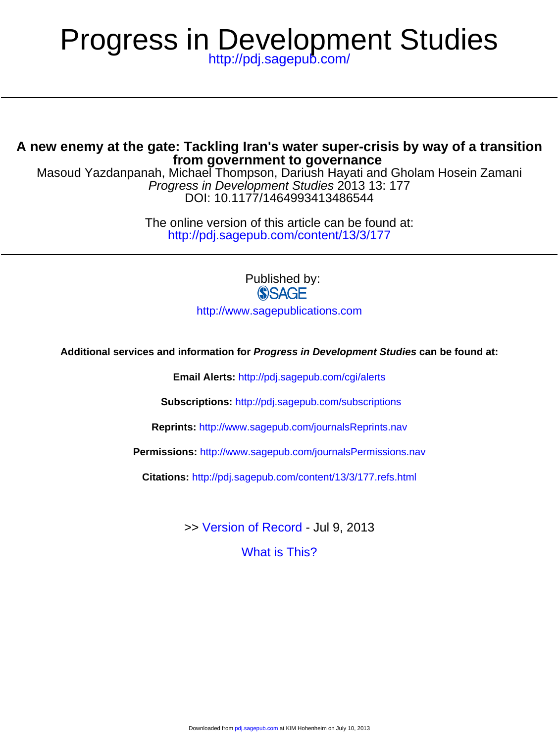## Progress in Development Studies

<http://pdj.sagepub.com/>

#### **from government to governance A new enemy at the gate: Tackling Iran's water super-crisis by way of a transition**

DOI: 10.1177/1464993413486544 Progress in Development Studies 2013 13: 177 Masoud Yazdanpanah, Michael Thompson, Dariush Hayati and Gholam Hosein Zamani

> <http://pdj.sagepub.com/content/13/3/177> The online version of this article can be found at:

> > Published by:<br>
> > SAGE

<http://www.sagepublications.com>

**Additional services and information for Progress in Development Studies can be found at:**

**Email Alerts:** <http://pdj.sagepub.com/cgi/alerts>

**Subscriptions:** <http://pdj.sagepub.com/subscriptions>

**Reprints:** <http://www.sagepub.com/journalsReprints.nav>

**Permissions:** <http://www.sagepub.com/journalsPermissions.nav>

**Citations:** <http://pdj.sagepub.com/content/13/3/177.refs.html>

>> [Version of Record -](http://pdj.sagepub.com/content/13/3/177.full.pdf) Jul 9, 2013

[What is This?](http://online.sagepub.com/site/sphelp/vorhelp.xhtml)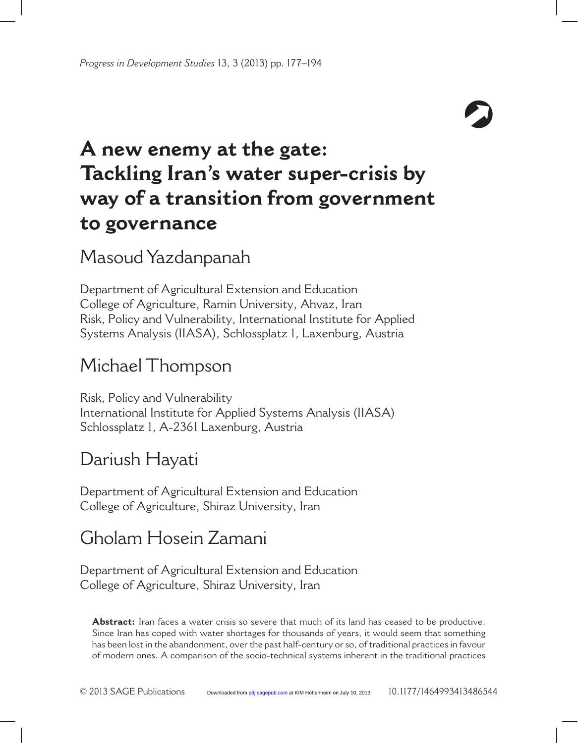# $\bullet$

## **A new enemy at the gate: Tackling Iran's water super-crisis by way of a transition from government to governance**

Masoud Yazdanpanah

Department of Agricultural Extension and Education College of Agriculture, Ramin University, Ahvaz, Iran Risk, Policy and Vulnerability, International Institute for Applied Systems Analysis (IIASA), Schlossplatz 1, Laxenburg, Austria

## Michael Thompson

Risk, Policy and Vulnerability International Institute for Applied Systems Analysis (IIASA) Schlossplatz 1, A-2361 Laxenburg, Austria

### Dariush Hayati

Department of Agricultural Extension and Education College of Agriculture, Shiraz University, Iran

## Gholam Hosein Zamani

Department of Agricultural Extension and Education College of Agriculture, Shiraz University, Iran

**Abstract:** Iran faces a water crisis so severe that much of its land has ceased to be productive. Since Iran has coped with water shortages for thousands of years, it would seem that something has been lost in the abandonment, over the past half-century or so, of traditional practices in favour of modern ones. A comparison of the socio-technical systems inherent in the traditional practices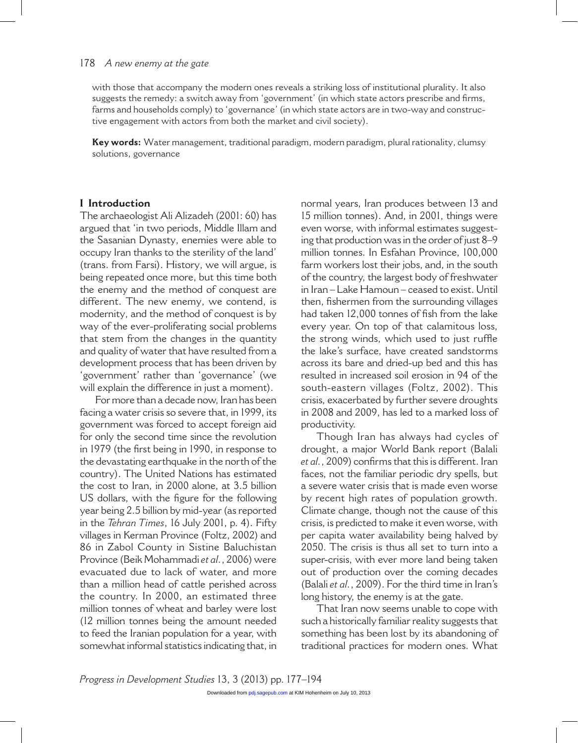with those that accompany the modern ones reveals a striking loss of institutional plurality. It also suggests the remedy: a switch away from 'government' (in which state actors prescribe and firms, farms and households comply) to 'governance' (in which state actors are in two-way and constructive engagement with actors from both the market and civil society).

**Key words:** Water management, traditional paradigm, modern paradigm, plural rationality, clumsy solutions, governance

#### **I Introduction**

The archaeologist Ali Alizadeh (2001: 60) has argued that 'in two periods, Middle Illam and the Sasanian Dynasty, enemies were able to occupy Iran thanks to the sterility of the land' (trans. from Farsi). History, we will argue, is being repeated once more, but this time both the enemy and the method of conquest are different. The new enemy, we contend, is modernity, and the method of conquest is by way of the ever-proliferating social problems that stem from the changes in the quantity and quality of water that have resulted from a development process that has been driven by 'government' rather than 'governance' (we will explain the difference in just a moment).

For more than a decade now, Iran has been facing a water crisis so severe that, in 1999, its government was forced to accept foreign aid for only the second time since the revolution in 1979 (the first being in 1990, in response to the devastating earthquake in the north of the country). The United Nations has estimated the cost to Iran, in 2000 alone, at 3.5 billion US dollars, with the figure for the following year being 2.5 billion by mid-year (as reported in the *Tehran Times*, 16 July 2001, p. 4). Fifty villages in Kerman Province (Foltz, 2002) and 86 in Zabol County in Sistine Baluchistan Province (Beik Mohammadi *et al.*, 2006) were evacuated due to lack of water, and more than a million head of cattle perished across the country. In 2000, an estimated three million tonnes of wheat and barley were lost (12 million tonnes being the amount needed to feed the Iranian population for a year, with somewhat informal statistics indicating that, in

normal years, Iran produces between 13 and 15 million tonnes). And, in 2001, things were even worse, with informal estimates suggesting that production was in the order of just 8–9 million tonnes. In Esfahan Province, 100,000 farm workers lost their jobs, and, in the south of the country, the largest body of freshwater in Iran – Lake Hamoun – ceased to exist. Until then, fishermen from the surrounding villages had taken 12,000 tonnes of fish from the lake every year. On top of that calamitous loss, the strong winds, which used to just ruffle the lake's surface, have created sandstorms across its bare and dried-up bed and this has resulted in increased soil erosion in 94 of the south-eastern villages (Foltz, 2002). This crisis, exacerbated by further severe droughts in 2008 and 2009, has led to a marked loss of productivity.

Though Iran has always had cycles of drought, a major World Bank report (Balali *et al.*, 2009) confirms that this is different. Iran faces, not the familiar periodic dry spells, but a severe water crisis that is made even worse by recent high rates of population growth. Climate change, though not the cause of this crisis, is predicted to make it even worse, with per capita water availability being halved by 2050. The crisis is thus all set to turn into a super-crisis, with ever more land being taken out of production over the coming decades (Balali *et al.*, 2009). For the third time in Iran's long history, the enemy is at the gate.

That Iran now seems unable to cope with such a historically familiar reality suggests that something has been lost by its abandoning of traditional practices for modern ones. What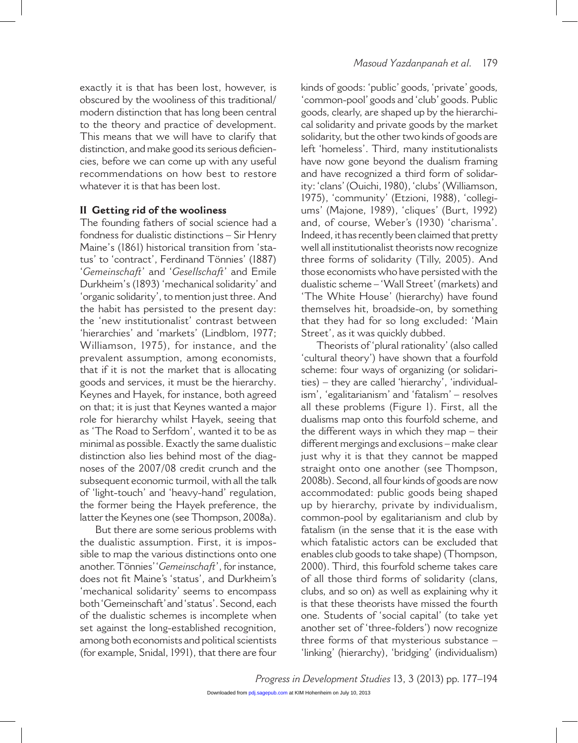exactly it is that has been lost, however, is obscured by the wooliness of this traditional/ modern distinction that has long been central to the theory and practice of development. This means that we will have to clarify that distinction, and make good its serious deficiencies, before we can come up with any useful recommendations on how best to restore whatever it is that has been lost.

#### **II Getting rid of the wooliness**

The founding fathers of social science had a fondness for dualistic distinctions – Sir Henry Maine's (1861) historical transition from 'status' to 'contract', Ferdinand Tönnies' (1887) '*Gemeinschaft*' and '*Gesellschaft*' and Emile Durkheim's (1893) 'mechanical solidarity' and 'organic solidarity', to mention just three. And the habit has persisted to the present day: the 'new institutionalist' contrast between 'hierarchies' and 'markets' (Lindblom, 1977; Williamson, 1975), for instance, and the prevalent assumption, among economists, that if it is not the market that is allocating goods and services, it must be the hierarchy. Keynes and Hayek, for instance, both agreed on that; it is just that Keynes wanted a major role for hierarchy whilst Hayek, seeing that as 'The Road to Serfdom', wanted it to be as minimal as possible. Exactly the same dualistic distinction also lies behind most of the diagnoses of the 2007/08 credit crunch and the subsequent economic turmoil, with all the talk of 'light-touch' and 'heavy-hand' regulation, the former being the Hayek preference, the latter the Keynes one (see Thompson, 2008a).

But there are some serious problems with the dualistic assumption. First, it is impossible to map the various distinctions onto one another. Tönnies' '*Gemeinschaft*', for instance, does not fit Maine's 'status', and Durkheim's 'mechanical solidarity' seems to encompass both 'Gemeinschaft' and 'status'. Second, each of the dualistic schemes is incomplete when set against the long-established recognition, among both economists and political scientists (for example, Snidal, 1991), that there are four kinds of goods: 'public' goods, 'private' goods, 'common-pool' goods and 'club' goods. Public goods, clearly, are shaped up by the hierarchical solidarity and private goods by the market solidarity, but the other two kinds of goods are left 'homeless'. Third, many institutionalists have now gone beyond the dualism framing and have recognized a third form of solidarity: 'clans' (Ouichi, 1980), 'clubs' (Williamson, 1975), 'community' (Etzioni, 1988), 'collegiums' (Majone, 1989), 'cliques' (Burt, 1992) and, of course, Weber's (1930) 'charisma'. Indeed, it has recently been claimed that pretty well all institutionalist theorists now recognize three forms of solidarity (Tilly, 2005). And those economists who have persisted with the dualistic scheme – 'Wall Street' (markets) and 'The White House' (hierarchy) have found themselves hit, broadside-on, by something that they had for so long excluded: 'Main Street', as it was quickly dubbed.

Theorists of 'plural rationality' (also called 'cultural theory') have shown that a fourfold scheme: four ways of organizing (or solidarities) – they are called 'hierarchy', 'individualism', 'egalitarianism' and 'fatalism' – resolves all these problems (Figure 1). First, all the dualisms map onto this fourfold scheme, and the different ways in which they map – their different mergings and exclusions – make clear just why it is that they cannot be mapped straight onto one another (see Thompson, 2008b). Second, all four kinds of goods are now accommodated: public goods being shaped up by hierarchy, private by individualism, common-pool by egalitarianism and club by fatalism (in the sense that it is the ease with which fatalistic actors can be excluded that enables club goods to take shape) (Thompson, 2000). Third, this fourfold scheme takes care of all those third forms of solidarity (clans, clubs, and so on) as well as explaining why it is that these theorists have missed the fourth one. Students of 'social capital' (to take yet another set of 'three-folders') now recognize three forms of that mysterious substance – 'linking' (hierarchy), 'bridging' (individualism)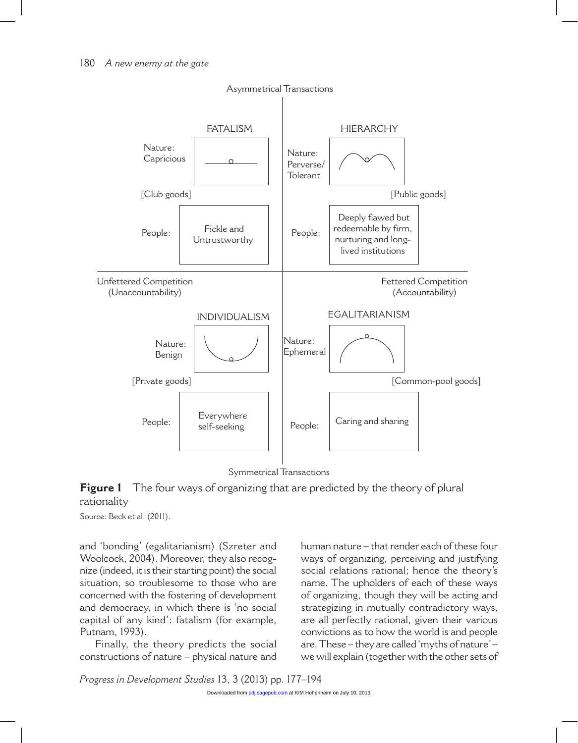

Asymmetrical Transactions

Symmetrical Transactions

**Figure 1** The four ways of organizing that are predicted by the theory of plural rationality

Source: Beck et al. (2011).

and 'bonding' (egalitarianism) (Szreter and Woolcock, 2004). Moreover, they also recognize (indeed, it is their starting point) the social situation, so troublesome to those who are concerned with the fostering of development and democracy, in which there is 'no social capital of any kind': fatalism (for example, Putnam, 1993).

Finally, the theory predicts the social constructions of nature – physical nature and

human nature – that render each of these four ways of organizing, perceiving and justifying social relations rational; hence the theory's name. The upholders of each of these ways of organizing, though they will be acting and strategizing in mutually contradictory ways, are all perfectly rational, given their various convictions as to how the world is and people are. These – they are called 'myths of nature' – we will explain (together with the other sets of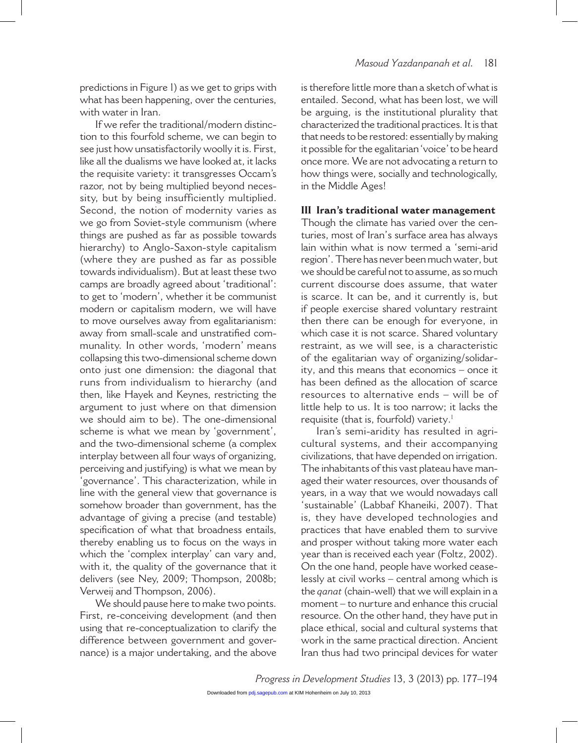predictions in Figure 1) as we get to grips with what has been happening, over the centuries, with water in Iran.

If we refer the traditional/modern distinction to this fourfold scheme, we can begin to see just how unsatisfactorily woolly it is. First, like all the dualisms we have looked at, it lacks the requisite variety: it transgresses Occam's razor, not by being multiplied beyond necessity, but by being insufficiently multiplied. Second, the notion of modernity varies as we go from Soviet-style communism (where things are pushed as far as possible towards hierarchy) to Anglo-Saxon-style capitalism (where they are pushed as far as possible towards individualism). But at least these two camps are broadly agreed about 'traditional': to get to 'modern', whether it be communist modern or capitalism modern, we will have to move ourselves away from egalitarianism: away from small-scale and unstratified communality. In other words, 'modern' means collapsing this two-dimensional scheme down onto just one dimension: the diagonal that runs from individualism to hierarchy (and then, like Hayek and Keynes, restricting the argument to just where on that dimension we should aim to be). The one-dimensional scheme is what we mean by 'government', and the two-dimensional scheme (a complex interplay between all four ways of organizing, perceiving and justifying) is what we mean by 'governance'. This characterization, while in line with the general view that governance is somehow broader than government, has the advantage of giving a precise (and testable) specification of what that broadness entails, thereby enabling us to focus on the ways in which the 'complex interplay' can vary and, with it, the quality of the governance that it delivers (see Ney, 2009; Thompson, 2008b; Verweij and Thompson, 2006).

We should pause here to make two points. First, re-conceiving development (and then using that re-conceptualization to clarify the difference between government and governance) is a major undertaking, and the above

is therefore little more than a sketch of what is entailed. Second, what has been lost, we will be arguing, is the institutional plurality that characterized the traditional practices. It is that that needs to be restored: essentially by making it possible for the egalitarian 'voice' to be heard once more. We are not advocating a return to how things were, socially and technologically, in the Middle Ages!

#### **III Iran's traditional water management**

Though the climate has varied over the centuries, most of Iran's surface area has always lain within what is now termed a 'semi-arid region'. There has never been much water, but we should be careful not to assume, as so much current discourse does assume, that water is scarce. It can be, and it currently is, but if people exercise shared voluntary restraint then there can be enough for everyone, in which case it is not scarce. Shared voluntary restraint, as we will see, is a characteristic of the egalitarian way of organizing/solidarity, and this means that economics – once it has been defined as the allocation of scarce resources to alternative ends – will be of little help to us. It is too narrow; it lacks the requisite (that is, fourfold) variety.<sup>1</sup>

Iran's semi-aridity has resulted in agricultural systems, and their accompanying civilizations, that have depended on irrigation. The inhabitants of this vast plateau have managed their water resources, over thousands of years, in a way that we would nowadays call 'sustainable' (Labbaf Khaneiki, 2007). That is, they have developed technologies and practices that have enabled them to survive and prosper without taking more water each year than is received each year (Foltz, 2002). On the one hand, people have worked ceaselessly at civil works – central among which is the *qanat* (chain-well) that we will explain in a moment – to nurture and enhance this crucial resource. On the other hand, they have put in place ethical, social and cultural systems that work in the same practical direction. Ancient Iran thus had two principal devices for water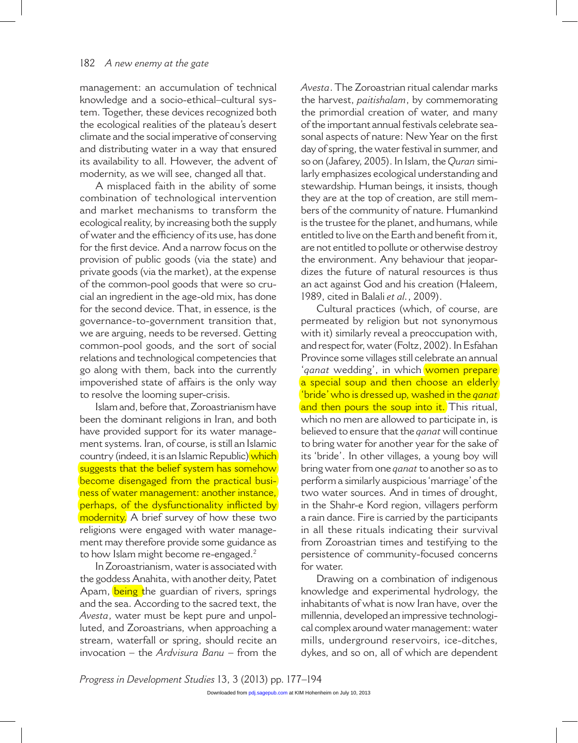management: an accumulation of technical knowledge and a socio-ethical–cultural system. Together, these devices recognized both the ecological realities of the plateau's desert climate and the social imperative of conserving and distributing water in a way that ensured its availability to all. However, the advent of modernity, as we will see, changed all that.

A misplaced faith in the ability of some combination of technological intervention and market mechanisms to transform the ecological reality, by increasing both the supply of water and the efficiency of its use, has done for the first device. And a narrow focus on the provision of public goods (via the state) and private goods (via the market), at the expense of the common-pool goods that were so crucial an ingredient in the age-old mix, has done for the second device. That, in essence, is the governance-to-government transition that, we are arguing, needs to be reversed. Getting common-pool goods, and the sort of social relations and technological competencies that go along with them, back into the currently impoverished state of affairs is the only way to resolve the looming super-crisis.

Islam and, before that, Zoroastrianism have been the dominant religions in Iran, and both have provided support for its water management systems. Iran, of course, is still an Islamic country (indeed, it is an Islamic Republic) which suggests that the belief system has somehow become disengaged from the practical business of water management: another instance, perhaps, of the dysfunctionality inflicted by modernity. A brief survey of how these two religions were engaged with water management may therefore provide some guidance as to how Islam might become re-engaged.<sup>2</sup>

In Zoroastrianism, water is associated with the goddess Anahita, with another deity, Patet Apam, being the guardian of rivers, springs and the sea. According to the sacred text, the *Avesta*, water must be kept pure and unpolluted, and Zoroastrians, when approaching a stream, waterfall or spring, should recite an invocation – the *Ardvisura Banu* – from the *Avesta*. The Zoroastrian ritual calendar marks the harvest, *paitishalam*, by commemorating the primordial creation of water, and many of the important annual festivals celebrate seasonal aspects of nature: New Year on the first day of spring, the water festival in summer, and so on (Jafarey, 2005). In Islam, the *Quran* similarly emphasizes ecological understanding and stewardship. Human beings, it insists, though they are at the top of creation, are still members of the community of nature. Humankind is the trustee for the planet, and humans, while entitled to live on the Earth and benefit from it, are not entitled to pollute or otherwise destroy the environment. Any behaviour that jeopardizes the future of natural resources is thus an act against God and his creation (Haleem, 1989, cited in Balali *et al.*, 2009).

Cultural practices (which, of course, are permeated by religion but not synonymous with it) similarly reveal a preoccupation with, and respect for, water (Foltz, 2002). In Esfahan Province some villages still celebrate an annual '*qanat* wedding', in which women prepare a special soup and then choose an elderly 'bride' who is dressed up, washed in the *qanat* and then pours the soup into it. This ritual, which no men are allowed to participate in, is believed to ensure that the *qanat* will continue to bring water for another year for the sake of its 'bride'. In other villages, a young boy will bring water from one *qanat* to another so as to perform a similarly auspicious 'marriage' of the two water sources. And in times of drought, in the Shahr-e Kord region, villagers perform a rain dance. Fire is carried by the participants in all these rituals indicating their survival from Zoroastrian times and testifying to the persistence of community-focused concerns for water.

Drawing on a combination of indigenous knowledge and experimental hydrology, the inhabitants of what is now Iran have, over the millennia, developed an impressive technological complex around water management: water mills, underground reservoirs, ice-ditches, dykes, and so on, all of which are dependent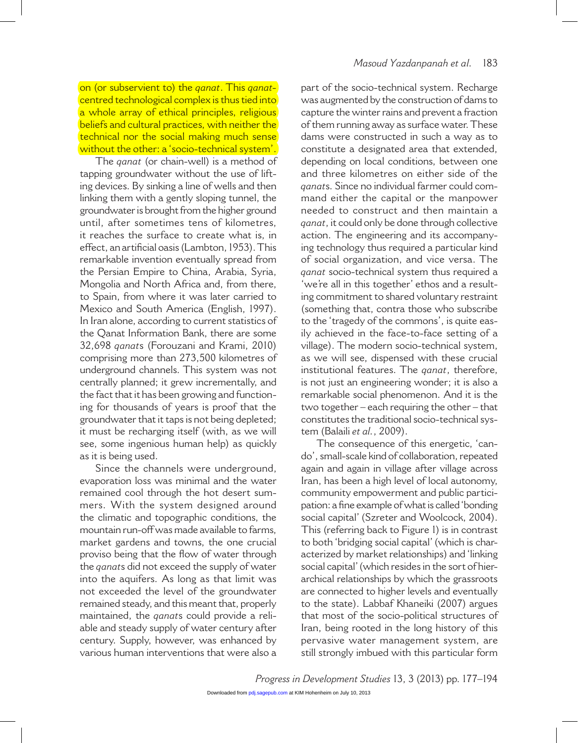on (or subservient to) the *qanat*. This *qanat*centred technological complex is thus tied into a whole array of ethical principles, religious beliefs and cultural practices, with neither the technical nor the social making much sense without the other: a 'socio-technical system'.

The *qanat* (or chain-well) is a method of tapping groundwater without the use of lifting devices. By sinking a line of wells and then linking them with a gently sloping tunnel, the groundwater is brought from the higher ground until, after sometimes tens of kilometres, it reaches the surface to create what is, in effect, an artificial oasis (Lambton, 1953). This remarkable invention eventually spread from the Persian Empire to China, Arabia, Syria, Mongolia and North Africa and, from there, to Spain, from where it was later carried to Mexico and South America (English, 1997). In Iran alone, according to current statistics of the Qanat Information Bank, there are some 32,698 *qanat*s (Forouzani and Krami, 2010) comprising more than 273,500 kilometres of underground channels. This system was not centrally planned; it grew incrementally, and the fact that it has been growing and functioning for thousands of years is proof that the groundwater that it taps is not being depleted; it must be recharging itself (with, as we will see, some ingenious human help) as quickly as it is being used.

Since the channels were underground, evaporation loss was minimal and the water remained cool through the hot desert summers. With the system designed around the climatic and topographic conditions, the mountain run-off was made available to farms, market gardens and towns, the one crucial proviso being that the flow of water through the *qanat*s did not exceed the supply of water into the aquifers. As long as that limit was not exceeded the level of the groundwater remained steady, and this meant that, properly maintained, the *qanat*s could provide a reliable and steady supply of water century after century. Supply, however, was enhanced by various human interventions that were also a

part of the socio-technical system. Recharge was augmented by the construction of dams to capture the winter rains and prevent a fraction of them running away as surface water. These dams were constructed in such a way as to constitute a designated area that extended, depending on local conditions, between one and three kilometres on either side of the *qanat*s. Since no individual farmer could command either the capital or the manpower needed to construct and then maintain a *qanat*, it could only be done through collective action. The engineering and its accompanying technology thus required a particular kind of social organization, and vice versa. The *qanat* socio-technical system thus required a 'we're all in this together' ethos and a resulting commitment to shared voluntary restraint (something that, contra those who subscribe to the 'tragedy of the commons', is quite easily achieved in the face-to-face setting of a village). The modern socio-technical system, as we will see, dispensed with these crucial institutional features. The *qanat*, therefore, is not just an engineering wonder; it is also a remarkable social phenomenon. And it is the two together – each requiring the other – that constitutes the traditional socio-technical system (Balaili *et al.*, 2009).

The consequence of this energetic, 'cando', small-scale kind of collaboration, repeated again and again in village after village across Iran, has been a high level of local autonomy, community empowerment and public participation: a fine example of what is called 'bonding social capital' (Szreter and Woolcock, 2004). This (referring back to Figure 1) is in contrast to both 'bridging social capital' (which is characterized by market relationships) and 'linking social capital' (which resides in the sort of hierarchical relationships by which the grassroots are connected to higher levels and eventually to the state). Labbaf Khaneiki (2007) argues that most of the socio-political structures of Iran, being rooted in the long history of this pervasive water management system, are still strongly imbued with this particular form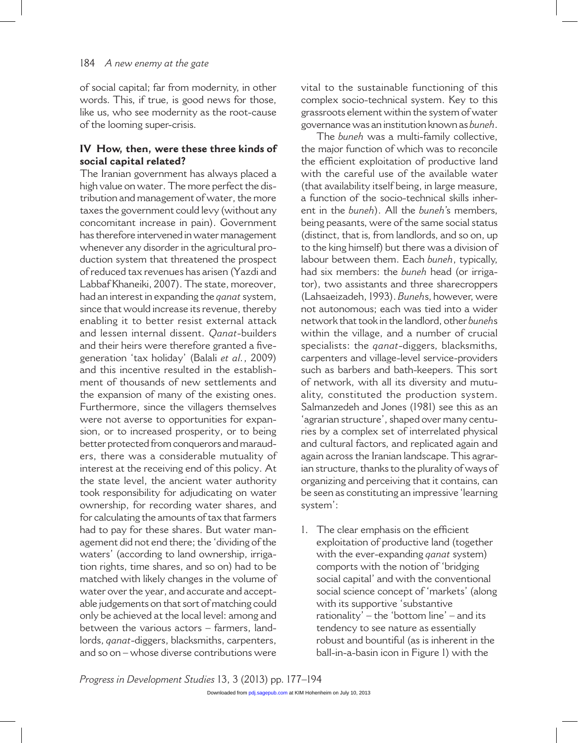of social capital; far from modernity, in other words. This, if true, is good news for those, like us, who see modernity as the root-cause of the looming super-crisis.

#### **IV How, then, were these three kinds of social capital related?**

The Iranian government has always placed a high value on water. The more perfect the distribution and management of water, the more taxes the government could levy (without any concomitant increase in pain). Government has therefore intervened in water management whenever any disorder in the agricultural production system that threatened the prospect of reduced tax revenues has arisen (Yazdi and Labbaf Khaneiki, 2007). The state, moreover, had an interest in expanding the *qanat* system, since that would increase its revenue, thereby enabling it to better resist external attack and lessen internal dissent. *Qanat*-builders and their heirs were therefore granted a fivegeneration 'tax holiday' (Balali *et al.*, 2009) and this incentive resulted in the establishment of thousands of new settlements and the expansion of many of the existing ones. Furthermore, since the villagers themselves were not averse to opportunities for expansion, or to increased prosperity, or to being better protected from conquerors and marauders, there was a considerable mutuality of interest at the receiving end of this policy. At the state level, the ancient water authority took responsibility for adjudicating on water ownership, for recording water shares, and for calculating the amounts of tax that farmers had to pay for these shares. But water management did not end there; the 'dividing of the waters' (according to land ownership, irrigation rights, time shares, and so on) had to be matched with likely changes in the volume of water over the year, and accurate and acceptable judgements on that sort of matching could only be achieved at the local level: among and between the various actors – farmers, landlords, *qanat*-diggers, blacksmiths, carpenters, and so on – whose diverse contributions were

vital to the sustainable functioning of this complex socio-technical system. Key to this grassroots element within the system of water governance was an institution known as *buneh*.

The *buneh* was a multi-family collective, the major function of which was to reconcile the efficient exploitation of productive land with the careful use of the available water (that availability itself being, in large measure, a function of the socio-technical skills inherent in the *buneh*). All the *buneh*'s members, being peasants, were of the same social status (distinct, that is, from landlords, and so on, up to the king himself) but there was a division of labour between them. Each *buneh*, typically, had six members: the *buneh* head (or irrigator), two assistants and three sharecroppers (Lahsaeizadeh, 1993). *Buneh*s, however, were not autonomous; each was tied into a wider network that took in the landlord, other *buneh*s within the village, and a number of crucial specialists: the *qanat*-diggers, blacksmiths, carpenters and village-level service-providers such as barbers and bath-keepers. This sort of network, with all its diversity and mutuality, constituted the production system. Salmanzedeh and Jones (1981) see this as an 'agrarian structure', shaped over many centuries by a complex set of interrelated physical and cultural factors, and replicated again and again across the Iranian landscape. This agrarian structure, thanks to the plurality of ways of organizing and perceiving that it contains, can be seen as constituting an impressive 'learning system':

1. The clear emphasis on the efficient exploitation of productive land (together with the ever-expanding *qanat* system) comports with the notion of 'bridging social capital' and with the conventional social science concept of 'markets' (along with its supportive 'substantive rationality' – the 'bottom line' – and its tendency to see nature as essentially robust and bountiful (as is inherent in the ball-in-a-basin icon in Figure 1) with the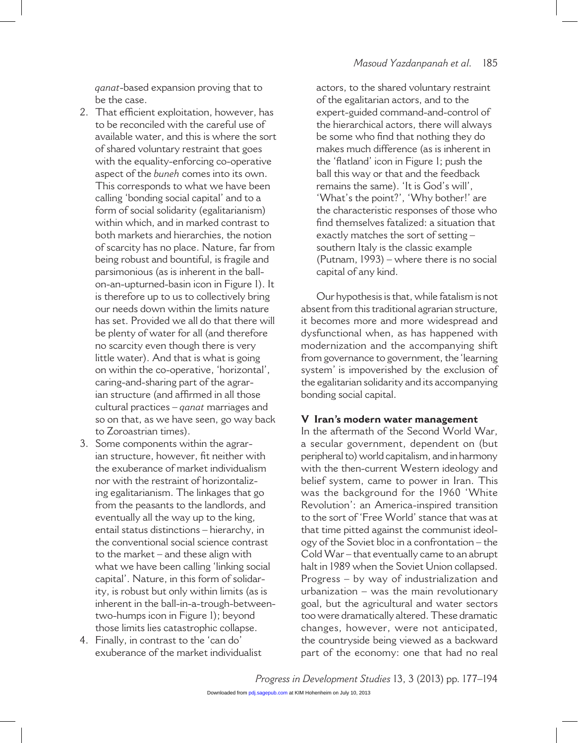*qanat*-based expansion proving that to be the case.

- 2. That efficient exploitation, however, has to be reconciled with the careful use of available water, and this is where the sort of shared voluntary restraint that goes with the equality-enforcing co-operative aspect of the *buneh* comes into its own. This corresponds to what we have been calling 'bonding social capital' and to a form of social solidarity (egalitarianism) within which, and in marked contrast to both markets and hierarchies, the notion of scarcity has no place. Nature, far from being robust and bountiful, is fragile and parsimonious (as is inherent in the ballon-an-upturned-basin icon in Figure 1). It is therefore up to us to collectively bring our needs down within the limits nature has set. Provided we all do that there will be plenty of water for all (and therefore no scarcity even though there is very little water). And that is what is going on within the co-operative, 'horizontal', caring-and-sharing part of the agrarian structure (and affirmed in all those cultural practices – *qanat* marriages and so on that, as we have seen, go way back to Zoroastrian times).
- 3. Some components within the agrarian structure, however, fit neither with the exuberance of market individualism nor with the restraint of horizontalizing egalitarianism. The linkages that go from the peasants to the landlords, and eventually all the way up to the king, entail status distinctions – hierarchy, in the conventional social science contrast to the market – and these align with what we have been calling 'linking social capital'. Nature, in this form of solidarity, is robust but only within limits (as is inherent in the ball-in-a-trough-betweentwo-humps icon in Figure 1); beyond those limits lies catastrophic collapse.
- 4. Finally, in contrast to the 'can do' exuberance of the market individualist

actors, to the shared voluntary restraint of the egalitarian actors, and to the expert-guided command-and-control of the hierarchical actors, there will always be some who find that nothing they do makes much difference (as is inherent in the 'flatland' icon in Figure 1; push the ball this way or that and the feedback remains the same). 'It is God's will', 'What's the point?', 'Why bother!' are the characteristic responses of those who find themselves fatalized: a situation that exactly matches the sort of setting – southern Italy is the classic example (Putnam, 1993) – where there is no social capital of any kind.

Our hypothesis is that, while fatalism is not absent from this traditional agrarian structure, it becomes more and more widespread and dysfunctional when, as has happened with modernization and the accompanying shift from governance to government, the 'learning system' is impoverished by the exclusion of the egalitarian solidarity and its accompanying bonding social capital.

#### **V Iran's modern water management**

In the aftermath of the Second World War, a secular government, dependent on (but peripheral to) world capitalism, and in harmony with the then-current Western ideology and belief system, came to power in Iran. This was the background for the 1960 'White Revolution': an America-inspired transition to the sort of 'Free World' stance that was at that time pitted against the communist ideology of the Soviet bloc in a confrontation – the Cold War – that eventually came to an abrupt halt in 1989 when the Soviet Union collapsed. Progress – by way of industrialization and urbanization – was the main revolutionary goal, but the agricultural and water sectors too were dramatically altered. These dramatic changes, however, were not anticipated, the countryside being viewed as a backward part of the economy: one that had no real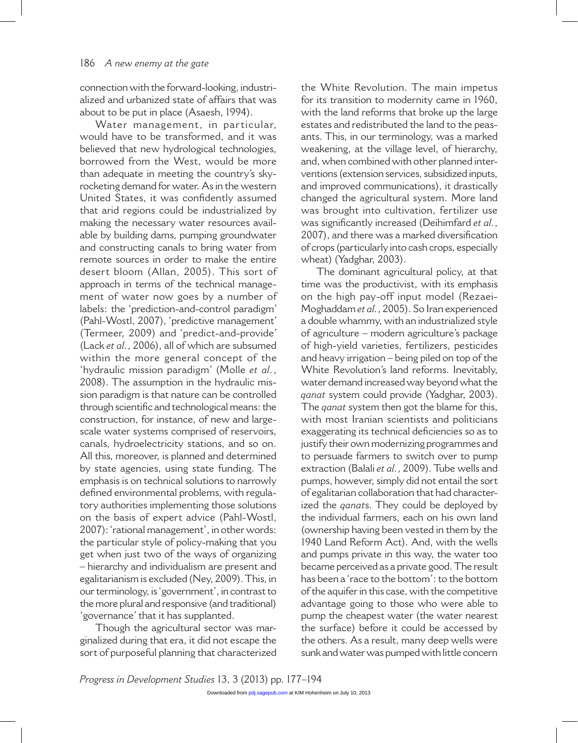connection with the forward-looking, industrialized and urbanized state of affairs that was about to be put in place (Asaesh, 1994).

Water management, in particular, would have to be transformed, and it was believed that new hydrological technologies, borrowed from the West, would be more than adequate in meeting the country's skyrocketing demand for water. As in the western United States, it was confidently assumed that arid regions could be industrialized by making the necessary water resources available by building dams, pumping groundwater and constructing canals to bring water from remote sources in order to make the entire desert bloom (Allan, 2005). This sort of approach in terms of the technical management of water now goes by a number of labels: the 'prediction-and-control paradigm' (Pahl-Wostl, 2007), 'predictive management' (Termeer, 2009) and 'predict-and-provide' (Lack *et al.*, 2006), all of which are subsumed within the more general concept of the 'hydraulic mission paradigm' (Molle *et al.*, 2008). The assumption in the hydraulic mission paradigm is that nature can be controlled through scientific and technological means: the construction, for instance, of new and largescale water systems comprised of reservoirs, canals, hydroelectricity stations, and so on. All this, moreover, is planned and determined by state agencies, using state funding. The emphasis is on technical solutions to narrowly defined environmental problems, with regulatory authorities implementing those solutions on the basis of expert advice (Pahl-Wostl, 2007): 'rational management', in other words: the particular style of policy-making that you get when just two of the ways of organizing – hierarchy and individualism are present and egalitarianism is excluded (Ney, 2009). This, in our terminology, is 'government', in contrast to the more plural and responsive (and traditional) 'governance' that it has supplanted.

Though the agricultural sector was marginalized during that era, it did not escape the sort of purposeful planning that characterized the White Revolution. The main impetus for its transition to modernity came in 1960, with the land reforms that broke up the large estates and redistributed the land to the peasants. This, in our terminology, was a marked weakening, at the village level, of hierarchy, and, when combined with other planned interventions (extension services, subsidized inputs, and improved communications), it drastically changed the agricultural system. More land was brought into cultivation, fertilizer use was significantly increased (Deihimfard *et al.*, 2007), and there was a marked diversification of crops (particularly into cash crops, especially wheat) (Yadghar, 2003).

The dominant agricultural policy, at that time was the productivist, with its emphasis on the high pay-off input model (Rezaei-Moghaddam *et al.*, 2005). So Iran experienced a double whammy, with an industrialized style of agriculture – modern agriculture's package of high-yield varieties, fertilizers, pesticides and heavy irrigation – being piled on top of the White Revolution's land reforms. Inevitably, water demand increased way beyond what the *qanat* system could provide (Yadghar, 2003). The *qanat* system then got the blame for this, with most Iranian scientists and politicians exaggerating its technical deficiencies so as to justify their own modernizing programmes and to persuade farmers to switch over to pump extraction (Balali *et al.*, 2009). Tube wells and pumps, however, simply did not entail the sort of egalitarian collaboration that had characterized the *qanat*s. They could be deployed by the individual farmers, each on his own land (ownership having been vested in them by the 1940 Land Reform Act). And, with the wells and pumps private in this way, the water too became perceived as a private good. The result has been a 'race to the bottom': to the bottom of the aquifer in this case, with the competitive advantage going to those who were able to pump the cheapest water (the water nearest the surface) before it could be accessed by the others. As a result, many deep wells were sunk and water was pumped with little concern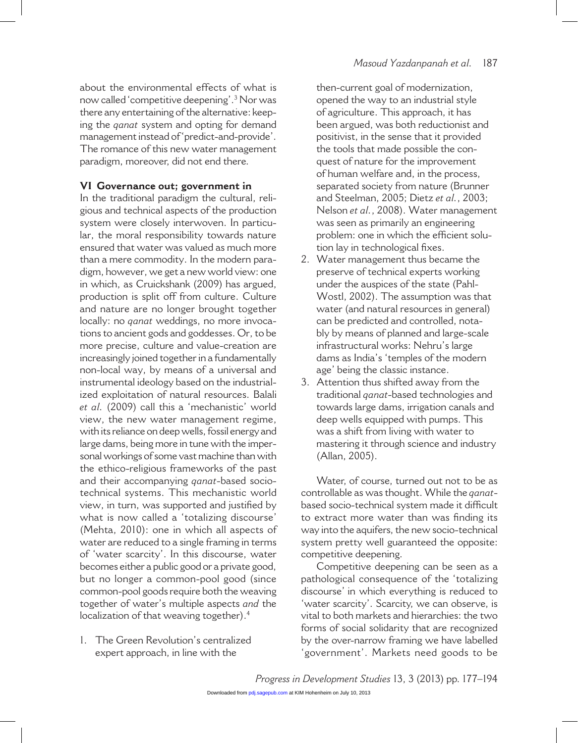about the environmental effects of what is now called 'competitive deepening'.3 Nor was there any entertaining of the alternative: keeping the *qanat* system and opting for demand management instead of 'predict-and-provide'. The romance of this new water management paradigm, moreover, did not end there.

#### **VI Governance out; government in**

In the traditional paradigm the cultural, religious and technical aspects of the production system were closely interwoven. In particular, the moral responsibility towards nature ensured that water was valued as much more than a mere commodity. In the modern paradigm, however, we get a new world view: one in which, as Cruickshank (2009) has argued, production is split off from culture. Culture and nature are no longer brought together locally: no *qanat* weddings, no more invocations to ancient gods and goddesses. Or, to be more precise, culture and value-creation are increasingly joined together in a fundamentally non-local way, by means of a universal and instrumental ideology based on the industrialized exploitation of natural resources. Balali *et al.* (2009) call this a 'mechanistic' world view, the new water management regime, with its reliance on deep wells, fossil energy and large dams, being more in tune with the impersonal workings of some vast machine than with the ethico-religious frameworks of the past and their accompanying *qanat*-based sociotechnical systems. This mechanistic world view, in turn, was supported and justified by what is now called a 'totalizing discourse' (Mehta, 2010): one in which all aspects of water are reduced to a single framing in terms of 'water scarcity'. In this discourse, water becomes either a public good or a private good, but no longer a common-pool good (since common-pool goods require both the weaving together of water's multiple aspects *and* the localization of that weaving together).<sup>4</sup>

1. The Green Revolution's centralized expert approach, in line with the

then-current goal of modernization, opened the way to an industrial style of agriculture. This approach, it has been argued, was both reductionist and positivist, in the sense that it provided the tools that made possible the conquest of nature for the improvement of human welfare and, in the process, separated society from nature (Brunner and Steelman, 2005; Dietz *et al.*, 2003; Nelson *et al.*, 2008). Water management was seen as primarily an engineering problem: one in which the efficient solution lay in technological fixes.

- 2. Water management thus became the preserve of technical experts working under the auspices of the state (Pahl-Wostl, 2002). The assumption was that water (and natural resources in general) can be predicted and controlled, notably by means of planned and large-scale infrastructural works: Nehru's large dams as India's 'temples of the modern age' being the classic instance.
- 3. Attention thus shifted away from the traditional *qanat*-based technologies and towards large dams, irrigation canals and deep wells equipped with pumps. This was a shift from living with water to mastering it through science and industry (Allan, 2005).

Water, of course, turned out not to be as controllable as was thought. While the *qanat*based socio-technical system made it difficult to extract more water than was finding its way into the aquifers, the new socio-technical system pretty well guaranteed the opposite: competitive deepening.

Competitive deepening can be seen as a pathological consequence of the 'totalizing discourse' in which everything is reduced to 'water scarcity'. Scarcity, we can observe, is vital to both markets and hierarchies: the two forms of social solidarity that are recognized by the over-narrow framing we have labelled 'government'. Markets need goods to be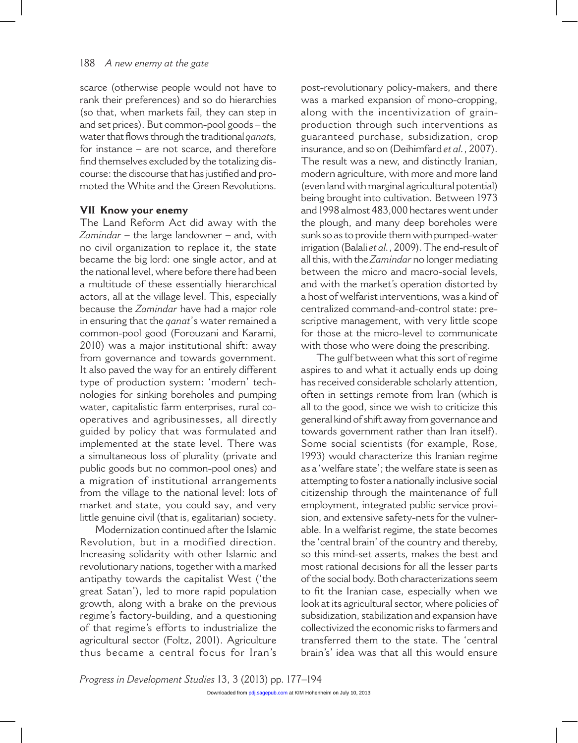scarce (otherwise people would not have to rank their preferences) and so do hierarchies (so that, when markets fail, they can step in and set prices). But common-pool goods – the water that flows through the traditional *qanat*s, for instance – are not scarce, and therefore find themselves excluded by the totalizing discourse: the discourse that has justified and promoted the White and the Green Revolutions.

#### **VII Know your enemy**

The Land Reform Act did away with the *Zamindar* – the large landowner – and, with no civil organization to replace it, the state became the big lord: one single actor, and at the national level, where before there had been a multitude of these essentially hierarchical actors, all at the village level. This, especially because the *Zamindar* have had a major role in ensuring that the *qanat*'s water remained a common-pool good (Forouzani and Karami, 2010) was a major institutional shift: away from governance and towards government. It also paved the way for an entirely different type of production system: 'modern' technologies for sinking boreholes and pumping water, capitalistic farm enterprises, rural cooperatives and agribusinesses, all directly guided by policy that was formulated and implemented at the state level. There was a simultaneous loss of plurality (private and public goods but no common-pool ones) and a migration of institutional arrangements from the village to the national level: lots of market and state, you could say, and very little genuine civil (that is, egalitarian) society.

Modernization continued after the Islamic Revolution, but in a modified direction. Increasing solidarity with other Islamic and revolutionary nations, together with a marked antipathy towards the capitalist West ('the great Satan'), led to more rapid population growth, along with a brake on the previous regime's factory-building, and a questioning of that regime's efforts to industrialize the agricultural sector (Foltz, 2001). Agriculture thus became a central focus for Iran's post-revolutionary policy-makers, and there was a marked expansion of mono-cropping, along with the incentivization of grainproduction through such interventions as guaranteed purchase, subsidization, crop insurance, and so on (Deihimfard *et al.*, 2007). The result was a new, and distinctly Iranian, modern agriculture, with more and more land (even land with marginal agricultural potential) being brought into cultivation. Between 1973 and 1998 almost 483,000 hectares went under the plough, and many deep boreholes were sunk so as to provide them with pumped-water irrigation (Balali *et al.*, 2009). The end-result of all this, with the *Zamindar* no longer mediating between the micro and macro-social levels, and with the market's operation distorted by a host of welfarist interventions, was a kind of centralized command-and-control state: prescriptive management, with very little scope for those at the micro-level to communicate with those who were doing the prescribing.

The gulf between what this sort of regime aspires to and what it actually ends up doing has received considerable scholarly attention, often in settings remote from Iran (which is all to the good, since we wish to criticize this general kind of shift away from governance and towards government rather than Iran itself). Some social scientists (for example, Rose, 1993) would characterize this Iranian regime as a 'welfare state'; the welfare state is seen as attempting to foster a nationally inclusive social citizenship through the maintenance of full employment, integrated public service provision, and extensive safety-nets for the vulnerable. In a welfarist regime, the state becomes the 'central brain' of the country and thereby, so this mind-set asserts, makes the best and most rational decisions for all the lesser parts of the social body. Both characterizations seem to fit the Iranian case, especially when we look at its agricultural sector, where policies of subsidization, stabilization and expansion have collectivized the economic risks to farmers and transferred them to the state. The 'central brain's' idea was that all this would ensure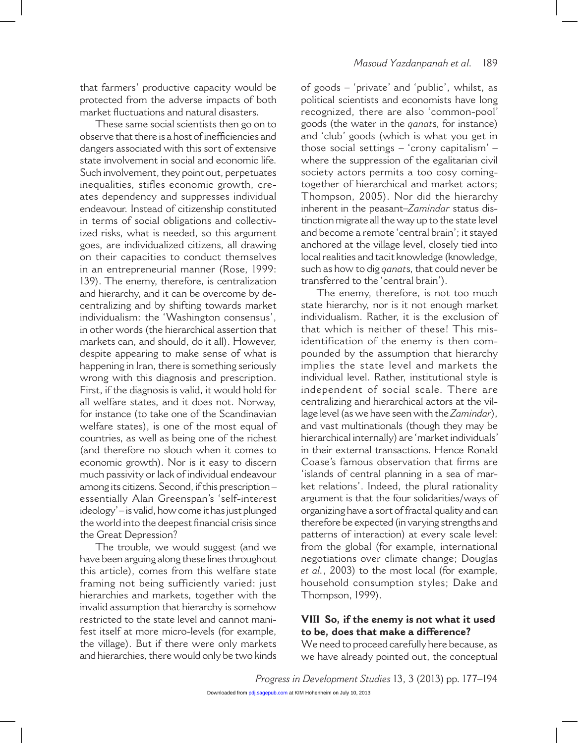that farmers' productive capacity would be protected from the adverse impacts of both market fluctuations and natural disasters.

These same social scientists then go on to observe that there is a host of inefficiencies and dangers associated with this sort of extensive state involvement in social and economic life. Such involvement, they point out, perpetuates inequalities, stifles economic growth, creates dependency and suppresses individual endeavour. Instead of citizenship constituted in terms of social obligations and collectivized risks, what is needed, so this argument goes, are individualized citizens, all drawing on their capacities to conduct themselves in an entrepreneurial manner (Rose, 1999: 139). The enemy, therefore, is centralization and hierarchy, and it can be overcome by decentralizing and by shifting towards market individualism: the 'Washington consensus', in other words (the hierarchical assertion that markets can, and should, do it all). However, despite appearing to make sense of what is happening in Iran, there is something seriously wrong with this diagnosis and prescription. First, if the diagnosis is valid, it would hold for all welfare states, and it does not. Norway, for instance (to take one of the Scandinavian welfare states), is one of the most equal of countries, as well as being one of the richest (and therefore no slouch when it comes to economic growth). Nor is it easy to discern much passivity or lack of individual endeavour among its citizens. Second, if this prescription – essentially Alan Greenspan's 'self-interest ideology' – is valid, how come it has just plunged the world into the deepest financial crisis since the Great Depression?

The trouble, we would suggest (and we have been arguing along these lines throughout this article), comes from this welfare state framing not being sufficiently varied: just hierarchies and markets, together with the invalid assumption that hierarchy is somehow restricted to the state level and cannot manifest itself at more micro-levels (for example, the village). But if there were only markets and hierarchies, there would only be two kinds

of goods – 'private' and 'public', whilst, as political scientists and economists have long recognized, there are also 'common-pool' goods (the water in the *qanat*s, for instance) and 'club' goods (which is what you get in those social settings – 'crony capitalism' – where the suppression of the egalitarian civil society actors permits a too cosy comingtogether of hierarchical and market actors; Thompson, 2005). Nor did the hierarchy inherent in the peasant–*Zamindar* status distinction migrate all the way up to the state level and become a remote 'central brain'; it stayed anchored at the village level, closely tied into local realities and tacit knowledge (knowledge, such as how to dig *qanat*s, that could never be transferred to the 'central brain').

The enemy, therefore, is not too much state hierarchy, nor is it not enough market individualism. Rather, it is the exclusion of that which is neither of these! This misidentification of the enemy is then compounded by the assumption that hierarchy implies the state level and markets the individual level. Rather, institutional style is independent of social scale. There are centralizing and hierarchical actors at the village level (as we have seen with the *Zamindar*), and vast multinationals (though they may be hierarchical internally) are 'market individuals' in their external transactions. Hence Ronald Coase's famous observation that firms are 'islands of central planning in a sea of market relations'. Indeed, the plural rationality argument is that the four solidarities/ways of organizing have a sort of fractal quality and can therefore be expected (in varying strengths and patterns of interaction) at every scale level: from the global (for example, international negotiations over climate change; Douglas *et al.*, 2003) to the most local (for example, household consumption styles; Dake and Thompson, 1999).

#### **VIII So, if the enemy is not what it used to be, does that make a difference?**

We need to proceed carefully here because, as we have already pointed out, the conceptual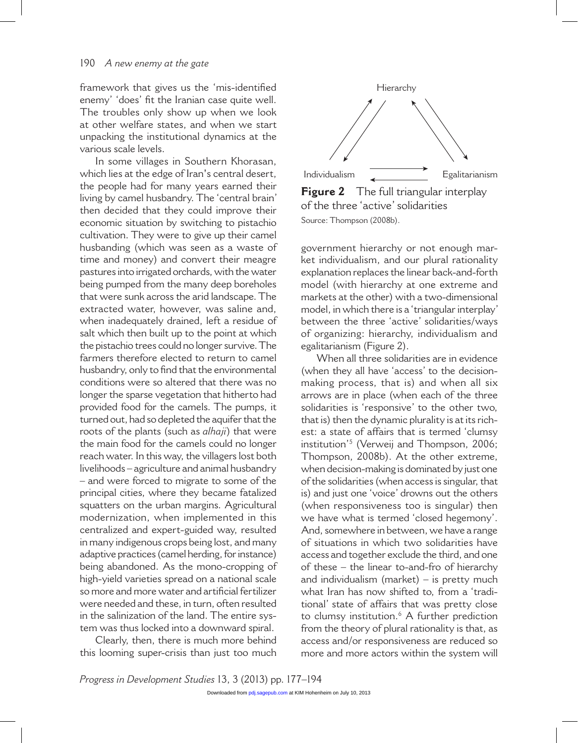framework that gives us the 'mis-identified enemy' 'does' fit the Iranian case quite well. The troubles only show up when we look at other welfare states, and when we start unpacking the institutional dynamics at the various scale levels.

In some villages in Southern Khorasan, which lies at the edge of Iran's central desert, the people had for many years earned their living by camel husbandry. The 'central brain' then decided that they could improve their economic situation by switching to pistachio cultivation. They were to give up their camel husbanding (which was seen as a waste of time and money) and convert their meagre pastures into irrigated orchards, with the water being pumped from the many deep boreholes that were sunk across the arid landscape. The extracted water, however, was saline and, when inadequately drained, left a residue of salt which then built up to the point at which the pistachio trees could no longer survive. The farmers therefore elected to return to camel husbandry, only to find that the environmental conditions were so altered that there was no longer the sparse vegetation that hitherto had provided food for the camels. The pumps, it turned out, had so depleted the aquifer that the roots of the plants (such as *alhaji*) that were the main food for the camels could no longer reach water. In this way, the villagers lost both livelihoods – agriculture and animal husbandry – and were forced to migrate to some of the principal cities, where they became fatalized squatters on the urban margins. Agricultural modernization, when implemented in this centralized and expert-guided way, resulted in many indigenous crops being lost, and many adaptive practices (camel herding, for instance) being abandoned. As the mono-cropping of high-yield varieties spread on a national scale so more and more water and artificial fertilizer were needed and these, in turn, often resulted in the salinization of the land. The entire system was thus locked into a downward spiral.

Clearly, then, there is much more behind this looming super-crisis than just too much



government hierarchy or not enough market individualism, and our plural rationality explanation replaces the linear back-and-forth model (with hierarchy at one extreme and markets at the other) with a two-dimensional model, in which there is a 'triangular interplay' between the three 'active' solidarities/ways of organizing: hierarchy, individualism and egalitarianism (Figure 2).

When all three solidarities are in evidence (when they all have 'access' to the decisionmaking process, that is) and when all six arrows are in place (when each of the three solidarities is 'responsive' to the other two, that is) then the dynamic plurality is at its richest: a state of affairs that is termed 'clumsy institution'5 (Verweij and Thompson, 2006; Thompson, 2008b). At the other extreme, when decision-making is dominated by just one of the solidarities (when access is singular, that is) and just one 'voice' drowns out the others (when responsiveness too is singular) then we have what is termed 'closed hegemony'. And, somewhere in between, we have a range of situations in which two solidarities have access and together exclude the third, and one of these – the linear to-and-fro of hierarchy and individualism (market) – is pretty much what Iran has now shifted to, from a 'traditional' state of affairs that was pretty close to clumsy institution.<sup>6</sup> A further prediction from the theory of plural rationality is that, as access and/or responsiveness are reduced so more and more actors within the system will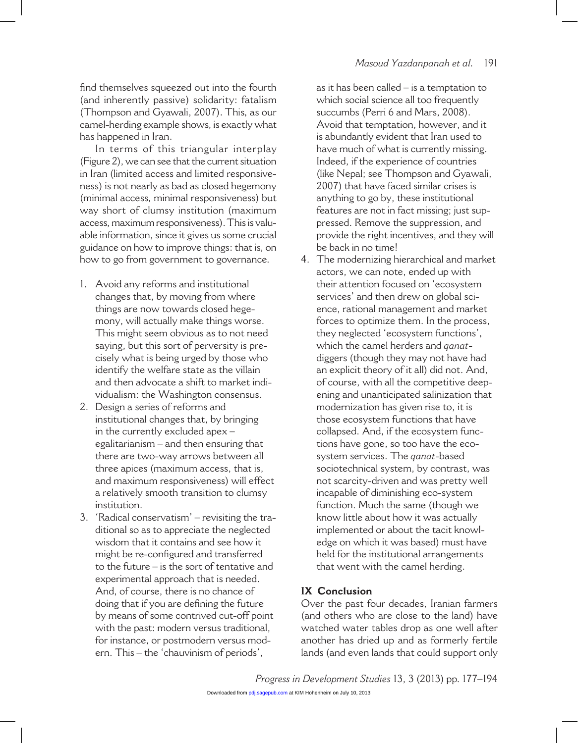find themselves squeezed out into the fourth (and inherently passive) solidarity: fatalism (Thompson and Gyawali, 2007). This, as our camel-herding example shows, is exactly what has happened in Iran.

In terms of this triangular interplay (Figure 2), we can see that the current situation in Iran (limited access and limited responsiveness) is not nearly as bad as closed hegemony (minimal access, minimal responsiveness) but way short of clumsy institution (maximum access, maximum responsiveness). This is valuable information, since it gives us some crucial guidance on how to improve things: that is, on how to go from government to governance.

- 1. Avoid any reforms and institutional changes that, by moving from where things are now towards closed hegemony, will actually make things worse. This might seem obvious as to not need saying, but this sort of perversity is precisely what is being urged by those who identify the welfare state as the villain and then advocate a shift to market individualism: the Washington consensus.
- 2. Design a series of reforms and institutional changes that, by bringing in the currently excluded apex – egalitarianism – and then ensuring that there are two-way arrows between all three apices (maximum access, that is, and maximum responsiveness) will effect a relatively smooth transition to clumsy institution.
- 3. 'Radical conservatism' revisiting the traditional so as to appreciate the neglected wisdom that it contains and see how it might be re-configured and transferred to the future – is the sort of tentative and experimental approach that is needed. And, of course, there is no chance of doing that if you are defining the future by means of some contrived cut-off point with the past: modern versus traditional, for instance, or postmodern versus modern. This – the 'chauvinism of periods',

as it has been called – is a temptation to which social science all too frequently succumbs (Perri 6 and Mars, 2008). Avoid that temptation, however, and it is abundantly evident that Iran used to have much of what is currently missing. Indeed, if the experience of countries (like Nepal; see Thompson and Gyawali, 2007) that have faced similar crises is anything to go by, these institutional features are not in fact missing; just suppressed. Remove the suppression, and provide the right incentives, and they will be back in no time!

4. The modernizing hierarchical and market actors, we can note, ended up with their attention focused on 'ecosystem services' and then drew on global science, rational management and market forces to optimize them. In the process, they neglected 'ecosystem functions', which the camel herders and *qanat*diggers (though they may not have had an explicit theory of it all) did not. And, of course, with all the competitive deepening and unanticipated salinization that modernization has given rise to, it is those ecosystem functions that have collapsed. And, if the ecosystem functions have gone, so too have the ecosystem services. The *qanat*-based sociotechnical system, by contrast, was not scarcity-driven and was pretty well incapable of diminishing eco-system function. Much the same (though we know little about how it was actually implemented or about the tacit knowledge on which it was based) must have held for the institutional arrangements that went with the camel herding.

#### **IX Conclusion**

Over the past four decades, Iranian farmers (and others who are close to the land) have watched water tables drop as one well after another has dried up and as formerly fertile lands (and even lands that could support only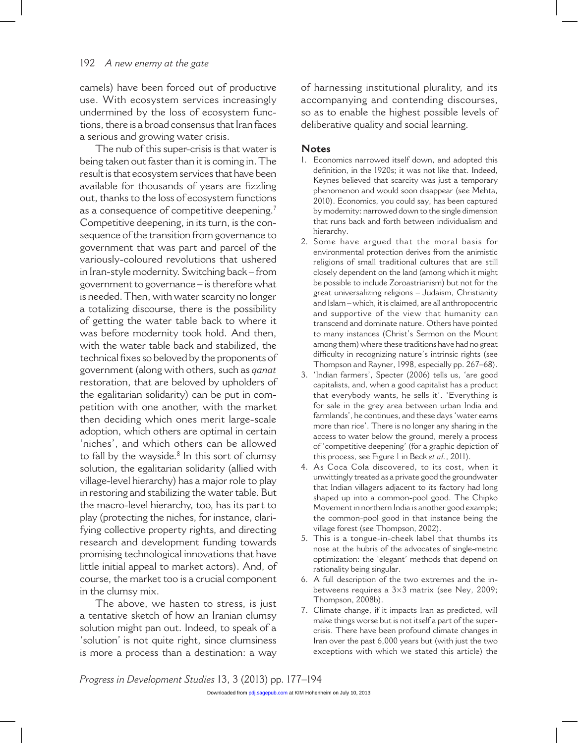camels) have been forced out of productive use. With ecosystem services increasingly undermined by the loss of ecosystem functions, there is a broad consensus that Iran faces a serious and growing water crisis.

The nub of this super-crisis is that water is being taken out faster than it is coming in. The result is that ecosystem services that have been available for thousands of years are fizzling out, thanks to the loss of ecosystem functions as a consequence of competitive deepening.<sup>7</sup> Competitive deepening, in its turn, is the consequence of the transition from governance to government that was part and parcel of the variously-coloured revolutions that ushered in Iran-style modernity. Switching back – from government to governance – is therefore what is needed. Then, with water scarcity no longer a totalizing discourse, there is the possibility of getting the water table back to where it was before modernity took hold. And then, with the water table back and stabilized, the technical fixes so beloved by the proponents of government (along with others, such as *qanat* restoration, that are beloved by upholders of the egalitarian solidarity) can be put in competition with one another, with the market then deciding which ones merit large-scale adoption, which others are optimal in certain 'niches', and which others can be allowed to fall by the wayside. $8 \text{ In this sort of clumsy}$ solution, the egalitarian solidarity (allied with village-level hierarchy) has a major role to play in restoring and stabilizing the water table. But the macro-level hierarchy, too, has its part to play (protecting the niches, for instance, clarifying collective property rights, and directing research and development funding towards promising technological innovations that have little initial appeal to market actors). And, of course, the market too is a crucial component in the clumsy mix.

The above, we hasten to stress, is just a tentative sketch of how an Iranian clumsy solution might pan out. Indeed, to speak of a 'solution' is not quite right, since clumsiness is more a process than a destination: a way

of harnessing institutional plurality, and its accompanying and contending discourses, so as to enable the highest possible levels of deliberative quality and social learning.

#### **Notes**

- 1. Economics narrowed itself down, and adopted this definition, in the 1920s; it was not like that. Indeed, Keynes believed that scarcity was just a temporary phenomenon and would soon disappear (see Mehta, 2010). Economics, you could say, has been captured by modernity: narrowed down to the single dimension that runs back and forth between individualism and hierarchy.
- 2. Some have argued that the moral basis for environmental protection derives from the animistic religions of small traditional cultures that are still closely dependent on the land (among which it might be possible to include Zoroastrianism) but not for the great universalizing religions – Judaism, Christianity and Islam – which, it is claimed, are all anthropocentric and supportive of the view that humanity can transcend and dominate nature. Others have pointed to many instances (Christ's Sermon on the Mount among them) where these traditions have had no great difficulty in recognizing nature's intrinsic rights (see Thompson and Rayner, 1998, especially pp. 267–68).
- 3. 'Indian farmers', Specter (2006) tells us, 'are good capitalists, and, when a good capitalist has a product that everybody wants, he sells it'. 'Everything is for sale in the grey area between urban India and farmlands', he continues, and these days 'water earns more than rice'. There is no longer any sharing in the access to water below the ground, merely a process of 'competitive deepening' (for a graphic depiction of this process, see Figure 1 in Beck *et al.*, 2011).
- 4. As Coca Cola discovered, to its cost, when it unwittingly treated as a private good the groundwater that Indian villagers adjacent to its factory had long shaped up into a common-pool good. The Chipko Movement in northern India is another good example; the common-pool good in that instance being the village forest (see Thompson, 2002).
- 5. This is a tongue-in-cheek label that thumbs its nose at the hubris of the advocates of single-metric optimization: the 'elegant' methods that depend on rationality being singular.
- 6. A full description of the two extremes and the inbetweens requires a 3×3 matrix (see Ney, 2009; Thompson, 2008b).
- 7. Climate change, if it impacts Iran as predicted, will make things worse but is not itself a part of the supercrisis. There have been profound climate changes in Iran over the past 6,000 years but (with just the two exceptions with which we stated this article) the

*Progress in Development Studies* 13, 3 (2013) pp. 177–194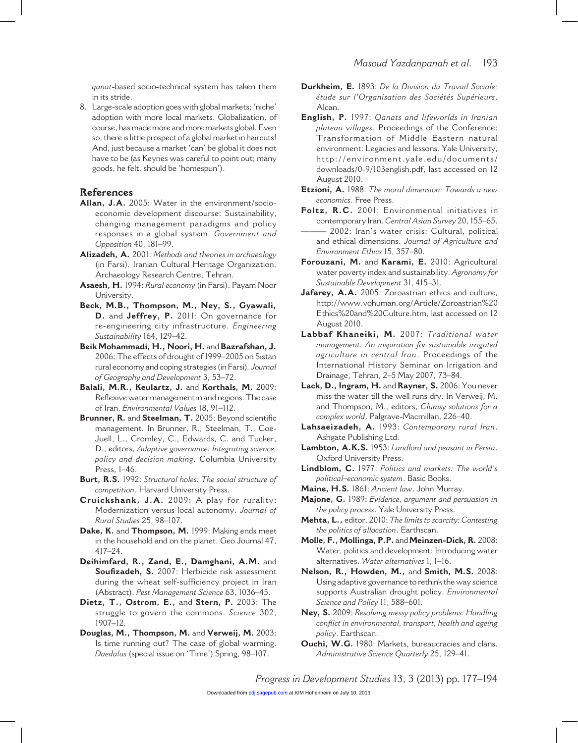*qanat*-based socio-technical system has taken them in its stride.

8. Large-scale adoption goes with global markets; 'niche' adoption with more local markets. Globalization, of course, has made more and more markets global. Even so, there is little prospect of a global market in haircuts! And, just because a market 'can' be global it does not have to be (as Keynes was careful to point out; many goods, he felt, should be 'homespun').

#### **References**

- **Allan, J.A.** 2005: Water in the environment/socioeconomic development discourse: Sustainability, changing management paradigms and policy responses in a global system. *Government and Opposition* 40, 181–99.
- **Alizadeh, A.** 2001: *Methods and theories in archaeology*  (in Farsi). Iranian Cultural Heritage Organization, Archaeology Research Centre, Tehran.
- **Asaesh, H.** 1994: *Rural economy* (in Farsi). Payam Noor University.
- **Beck, M.B., Thompson, M., Ney, S., Gyawali, D.** and **Jeffrey, P.** 2011: On governance for re-engineering city infrastructure. *Engineering Sustainability* 164, 129–42.
- **Beik Mohammadi, H., Noori, H.** and **Bazrafshan, J.** 2006: The effects of drought of 1999–2005 on Sistan rural economy and coping strategies (in Farsi)*. Journal of Geography and Development* 3, 53–72.
- **Balali, M.R., Keulartz, J.** and **Korthals, M.** 2009: Reflexive water management in arid regions: The case of Iran. *Environmental Values* 18, 91–112.
- **Brunner, R.** and **Steelman, T.** 2005: Beyond scientific management. In Brunner, R., Steelman, T., Coe-Juell, L., Cromley, C., Edwards, C. and Tucker, D., editors, *Adaptive governance: Integrating science, policy and decision making*. Columbia University Press, 1–46.
- **Burt, R.S.** 1992: *Structural holes: The social structure of competition*. Harvard University Press.
- **Cruickshank, J.A.** 2009: A play for rurality: Modernization versus local autonomy. *Journal of Rural Studies* 25, 98–107.
- **Dake, K.** and **Thompson, M.** 1999: Making ends meet in the household and on the planet. Geo Journal 47, 417–24.
- **Deihimfard, R., Zand, E., Damghani, A.M.** and **Soufizadeh, S.** 2007: Herbicide risk assessment during the wheat self-sufficiency project in Iran (Abstract). *Pest Management Science* 63, 1036–45.
- **Dietz, T., Ostrom, E.,** and **Stern, P.** 2003: The struggle to govern the commons. *Science* 302, 1907–12.
- **Douglas, M., Thompson, M.** and **Verweij, M.** 2003: Is time running out? The case of global warming. *Daedalus* (special issue on 'Time') Spring, 98–107.
- **Durkheim, E.** 1893: *De la Division du Travail Sociale: étude sur l'Organisation des Sociétés Supérieurs*. Alcan.
- **English, P.** 1997: *Qanats and lifeworlds in Iranian plateau villages*. Proceedings of the Conference: Transformation of Middle Eastern natural environment: Legacies and lessons. Yale University, http://environment.yale.edu/documents/ downloads/0-9/103english.pdf, last accessed on 12 August 2010.
- **Etzioni, A.** 1988: *The moral dimension: Towards a new economics*. Free Press.
- **Foltz, R.C.** 2001: Environmental initiatives in contemporary Iran. *Central Asian Survey* 20, 155–65.
- 2002: Iran's water crisis: Cultural, political and ethical dimensions. *Journal of Agriculture and Environment Ethics* 15, 357–80.
- **Forouzani, M.** and **Karami, E.** 2010: Agricultural water poverty index and sustainability. *Agronomy for Sustainable Development* 31, 415–31.
- Jafarey, A.A. 2005: Zoroastrian ethics and culture, http://www.vohuman.org/Article/Zoroastrian%20 Ethics%20and%20Culture.htm, last accessed on 12 August 2010.
- **Labbaf Khaneiki, M.** 2007: *Traditional water management: An inspiration for sustainable irrigated agriculture in central Iran*. Proceedings of the International History Seminar on Irrigation and Drainage, Tehran, 2–5 May 2007, 73–84.
- **Lack, D., Ingram, H.** and **Rayner, S.** 2006: You never miss the water till the well runs dry. In Verweij, M. and Thompson, M., editors, *Clumsy solutions for a complex world*. Palgrave-Macmillan, 226–40.
- **Lahsaeizadeh, A.** 1993: *Contemporary rural Iran*. Ashgate Publishing Ltd.
- **Lambton, A.K.S.** 1953: *Landlord and peasant in Persia*. Oxford University Press.
- **Lindblom, C.** 1977: *Politics and markets: The world's political–economic system*. Basic Books.
- **Maine, H.S.** 1861: *Ancient law*. John Murray.
- **Majone, G.** 1989: *Evidence, argument and persuasion in the policy process*. Yale University Press.
- **Mehta, L.,** editor. 2010: *The limits to scarcity: Contesting the politics of allocation*. Earthscan.
- **Molle, F., Mollinga, P.P.** and **Meinzen-Dick, R.** 2008: Water, politics and development: Introducing water alternatives. *Water alternatives* 1, 1–16.
- **Nelson, R., Howden, M.,** and **Smith, M.S.** 2008: Using adaptive governance to rethink the way science supports Australian drought policy. *Environmental Science and Policy* 11, 588–601.
- **Ney, S.** 2009: *Resolving messy policy problems: Handling conflict in environmental, transport, health and ageing policy*. Earthscan.
- **Ouchi, W.G.** 1980: Markets, bureaucracies and clans. *Administrative Science Quarterly* 25, 129–41.

*Progress in Development Studies* 13, 3 (2013) pp. 177–194